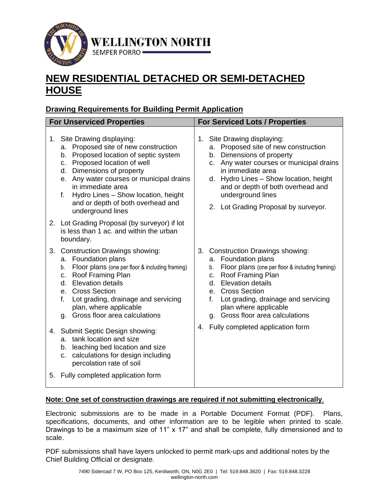

# **NEW RESIDENTIAL DETACHED OR SEMI-DETACHED HOUSE**

## **Drawing Requirements for Building Permit Application**

| <b>For Unserviced Properties</b> |                                                                                                                                                                                                                                                                                                                                                   | <b>For Serviced Lots / Properties</b>                                                                                                                                                                                                                                                                                    |
|----------------------------------|---------------------------------------------------------------------------------------------------------------------------------------------------------------------------------------------------------------------------------------------------------------------------------------------------------------------------------------------------|--------------------------------------------------------------------------------------------------------------------------------------------------------------------------------------------------------------------------------------------------------------------------------------------------------------------------|
|                                  | 1. Site Drawing displaying:<br>a. Proposed site of new construction<br>b. Proposed location of septic system<br>c. Proposed location of well<br>d. Dimensions of property<br>e. Any water courses or municipal drains<br>in immediate area<br>Hydro Lines - Show location, height<br>f.<br>and or depth of both overhead and<br>underground lines | 1. Site Drawing displaying:<br>a. Proposed site of new construction<br>b. Dimensions of property<br>c. Any water courses or municipal drains<br>in immediate area<br>Hydro Lines - Show location, height<br>d.<br>and or depth of both overhead and<br>underground lines<br>2. Lot Grading Proposal by surveyor.         |
|                                  | 2. Lot Grading Proposal (by surveyor) if lot<br>is less than 1 ac. and within the urban<br>boundary.                                                                                                                                                                                                                                              |                                                                                                                                                                                                                                                                                                                          |
| 3.                               | <b>Construction Drawings showing:</b><br>a. Foundation plans<br>Floor plans (one per floor & including framing)<br>b.<br>c. Roof Framing Plan<br>d. Elevation details<br>e. Cross Section<br>Lot grading, drainage and servicing<br>f.<br>plan, where applicable<br>g. Gross floor area calculations                                              | 3. Construction Drawings showing:<br>a. Foundation plans<br>Floor plans (one per floor & including framing)<br>b.<br>Roof Framing Plan<br>c.<br><b>Elevation details</b><br>d.<br>e. Cross Section<br>$f_{\cdot}$<br>Lot grading, drainage and servicing<br>plan where applicable<br>Gross floor area calculations<br>g. |
|                                  | 4. Submit Septic Design showing:<br>a. tank location and size<br>b. leaching bed location and size<br>c. calculations for design including<br>percolation rate of soil                                                                                                                                                                            | Fully completed application form<br>4.                                                                                                                                                                                                                                                                                   |
| 5.                               | Fully completed application form                                                                                                                                                                                                                                                                                                                  |                                                                                                                                                                                                                                                                                                                          |

#### **Note: One set of construction drawings are required if not submitting electronically**.

Electronic submissions are to be made in a Portable Document Format (PDF). Plans, specifications, documents, and other information are to be legible when printed to scale. Drawings to be a maximum size of 11" x 17" and shall be complete, fully dimensioned and to scale.

PDF submissions shall have layers unlocked to permit mark-ups and additional notes by the Chief Building Official or designate.